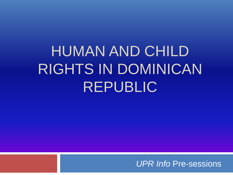# HUMAN AND CHILD RIGHTS IN DOMINICAN REPUBLIC

*UPR Info* Pre-sessions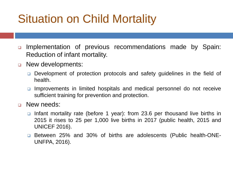### Situation on Child Mortality

- ❑ Implementation of previous recommendations made by Spain: Reduction of infant mortality.
- ❑ New developments:
	- ❑ Development of protection protocols and safety guidelines in the field of health.
	- ❑ Improvements in limited hospitals and medical personnel do not receive sufficient training for prevention and protection.

#### ❑ New needs:

- ❑ Infant mortality rate (before 1 year): from 23.6 per thousand live births in 2015 it rises to 25 per 1,000 live births in 2017 (public health, 2015 and UNICEF 2016).
- ❑ Between 25% and 30% of births are adolescents (Public health-ONE-UNFPA, 2016).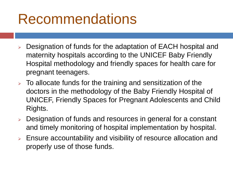## Recommendations

- Designation of funds for the adaptation of EACH hospital and maternity hospitals according to the UNICEF Baby Friendly Hospital methodology and friendly spaces for health care for pregnant teenagers.
- $\triangleright$  To allocate funds for the training and sensitization of the doctors in the methodology of the Baby Friendly Hospital of UNICEF, Friendly Spaces for Pregnant Adolescents and Child Rights.
- Designation of funds and resources in general for a constant and timely monitoring of hospital implementation by hospital.
- ➢ Ensure accountability and visibility of resource allocation and properly use of those funds.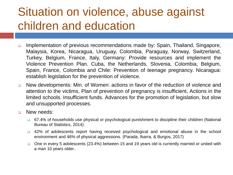#### Situation on violence, abuse against children and education

- ❑ Implementation of previous recommendations made by: Spain, Thailand, Singapore, Malaysia, Korea, Nicaragua, Uruguay, Colombia, Paraguay, Norway, Switzerland, Turkey, Belgium, France, Italy, Germany: Provide resources and implement the Violence Prevention Plan. Cuba, the Netherlands, Slovenia, Colombia, Belgium, Spain, France, Colombia and Chile: Prevention of teenage pregnancy. Nicaragua: establish legislation for the prevention of violence.
- ❑ New developments: Min. of Women: actions in favor of the reduction of violence and attention to the victims, Plan of prevention of pregnancy is insufficient, Actions in the limited schools. Insufficient funds. Advances for the promotion of legislation, but slow and unsupported processes.
- ❑ New needs:
	- ❑ 67.4% of households use physical or psychological punishment to discipline their children (National Bureau of Statistics, 2014).
	- ❑ 42% of adolescents report having received psychological and emotional abuse in the school environment and 46% of physical aggressions. (Parada, Ibarra, & Burgos, 2017)
	- ❑ One in every 5 adolescents (23.4%) between 15 and 19 years old is currently married or united with a man 10 years older..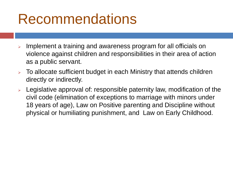## Recommendations

- Implement a training and awareness program for all officials on violence against children and responsibilities in their area of action as a public servant.
- ➢ To allocate sufficient budget in each Ministry that attends children directly or indirectly.
- ➢ Legislative approval of: responsible paternity law, modification of the civil code (elimination of exceptions to marriage with minors under 18 years of age), Law on Positive parenting and Discipline without physical or humiliating punishment, and Law on Early Childhood.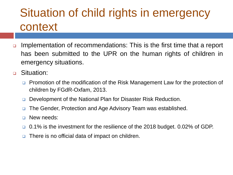#### Situation of child rights in emergency context

- ❑ Implementation of recommendations: This is the first time that a report has been submitted to the UPR on the human rights of children in emergency situations.
- ❑ Situation:
	- ❑ Promotion of the modification of the Risk Management Law for the protection of children by FGdR-Oxfam, 2013.
	- ❑ Development of the National Plan for Disaster Risk Reduction.
	- ❑ The Gender, Protection and Age Advisory Team was established.
	- ❑ New needs:
	- ❑ 0.1% is the investment for the resilience of the 2018 budget. 0.02% of GDP.
	- ❑ There is no official data of impact on children.